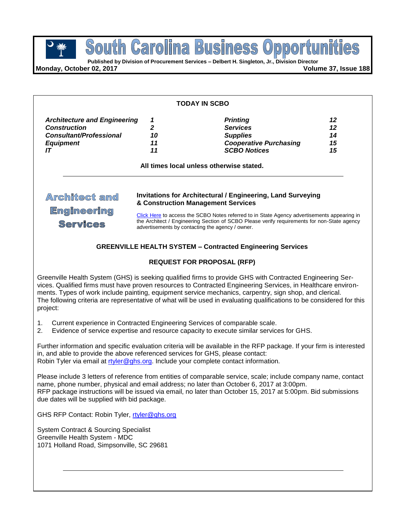**POUTH GETOIME BUSINESS OPPOTTU**<br> **Published by Division of Procurement Services – Delbert H. Singleton, Jr., Division Director Business** South Carolina

**Monday, October 02, 2017 Volume 37, Issue 188**

| <b>Architecture and Engineering</b><br>1<br>$\overline{2}$<br>10<br>11<br>11 | <b>Printing</b><br><b>Services</b><br><b>Supplies</b><br><b>Cooperative Purchasing</b><br><b>SCBO Notices</b><br>All times local unless otherwise stated. | 12<br>12<br>14<br>15<br>15                                                                                                                                                                                                                                                                                                                                                                                                                                    |
|------------------------------------------------------------------------------|-----------------------------------------------------------------------------------------------------------------------------------------------------------|---------------------------------------------------------------------------------------------------------------------------------------------------------------------------------------------------------------------------------------------------------------------------------------------------------------------------------------------------------------------------------------------------------------------------------------------------------------|
|                                                                              |                                                                                                                                                           |                                                                                                                                                                                                                                                                                                                                                                                                                                                               |
|                                                                              |                                                                                                                                                           |                                                                                                                                                                                                                                                                                                                                                                                                                                                               |
|                                                                              |                                                                                                                                                           |                                                                                                                                                                                                                                                                                                                                                                                                                                                               |
|                                                                              |                                                                                                                                                           |                                                                                                                                                                                                                                                                                                                                                                                                                                                               |
|                                                                              |                                                                                                                                                           | Invitations for Architectural / Engineering, Land Surveying<br>& Construction Management Services<br>Click Here to access the SCBO Notes referred to in State Agency advertisements appearing in<br>the Architect / Engineering Section of SCBO Please verify requirements for non-State agency<br>advertisements by contacting the agency / owner.<br><b>GREENVILLE HEALTH SYSTEM - Contracted Engineering Services</b><br><b>REQUEST FOR PROPOSAL (RFP)</b> |

Greenville Health System (GHS) is seeking qualified firms to provide GHS with Contracted Engineering Services. Qualified firms must have proven resources to Contracted Engineering Services, in Healthcare environments. Types of work include painting, equipment service mechanics, carpentry, sign shop, and clerical. The following criteria are representative of what will be used in evaluating qualifications to be considered for this project:

- 1. Current experience in Contracted Engineering Services of comparable scale.
- 2. Evidence of service expertise and resource capacity to execute similar services for GHS.

Further information and specific evaluation criteria will be available in the RFP package. If your firm is interested in, and able to provide the above referenced services for GHS, please contact: Robin Tyler via email at [rtyler@ghs.org.](mailto:rtyler@ghs.org) Include your complete contact information.

Please include 3 letters of reference from entities of comparable service, scale; include company name, contact name, phone number, physical and email address; no later than October 6, 2017 at 3:00pm. RFP package instructions will be issued via email, no later than October 15, 2017 at 5:00pm. Bid submissions due dates will be supplied with bid package.

GHS RFP Contact: Robin Tyler, [rtyler@ghs.org](mailto:rtyler@ghs.org)

System Contract & Sourcing Specialist Greenville Health System - MDC 1071 Holland Road, Simpsonville, SC 29681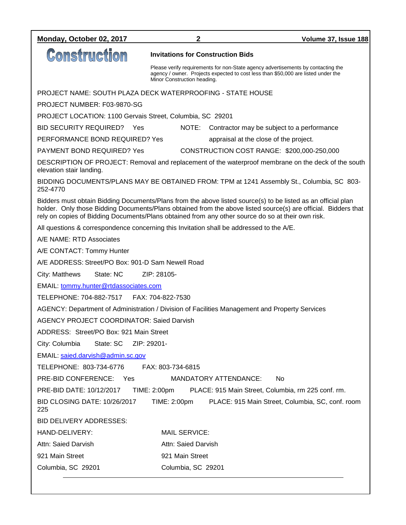| Monday, October 02, 2017                                                                                                                                                                                                                                                                                                            | 2                                                                                                                                                                                                    | Volume 37, Issue 188                                                                           |  |  |  |
|-------------------------------------------------------------------------------------------------------------------------------------------------------------------------------------------------------------------------------------------------------------------------------------------------------------------------------------|------------------------------------------------------------------------------------------------------------------------------------------------------------------------------------------------------|------------------------------------------------------------------------------------------------|--|--|--|
| <b>Construction</b>                                                                                                                                                                                                                                                                                                                 | <b>Invitations for Construction Bids</b>                                                                                                                                                             |                                                                                                |  |  |  |
|                                                                                                                                                                                                                                                                                                                                     | Please verify requirements for non-State agency advertisements by contacting the<br>agency / owner. Projects expected to cost less than \$50,000 are listed under the<br>Minor Construction heading. |                                                                                                |  |  |  |
| PROJECT NAME: SOUTH PLAZA DECK WATERPROOFING - STATE HOUSE                                                                                                                                                                                                                                                                          |                                                                                                                                                                                                      |                                                                                                |  |  |  |
| PROJECT NUMBER: F03-9870-SG                                                                                                                                                                                                                                                                                                         |                                                                                                                                                                                                      |                                                                                                |  |  |  |
| PROJECT LOCATION: 1100 Gervais Street, Columbia, SC 29201                                                                                                                                                                                                                                                                           |                                                                                                                                                                                                      |                                                                                                |  |  |  |
| BID SECURITY REQUIRED? Yes                                                                                                                                                                                                                                                                                                          | NOTE:                                                                                                                                                                                                | Contractor may be subject to a performance                                                     |  |  |  |
| PERFORMANCE BOND REQUIRED? Yes                                                                                                                                                                                                                                                                                                      |                                                                                                                                                                                                      | appraisal at the close of the project.                                                         |  |  |  |
| <b>PAYMENT BOND REQUIRED? Yes</b>                                                                                                                                                                                                                                                                                                   |                                                                                                                                                                                                      | CONSTRUCTION COST RANGE: \$200,000-250,000                                                     |  |  |  |
| DESCRIPTION OF PROJECT: Removal and replacement of the waterproof membrane on the deck of the south<br>elevation stair landing.                                                                                                                                                                                                     |                                                                                                                                                                                                      |                                                                                                |  |  |  |
| BIDDING DOCUMENTS/PLANS MAY BE OBTAINED FROM: TPM at 1241 Assembly St., Columbia, SC 803-<br>252-4770                                                                                                                                                                                                                               |                                                                                                                                                                                                      |                                                                                                |  |  |  |
| Bidders must obtain Bidding Documents/Plans from the above listed source(s) to be listed as an official plan<br>holder. Only those Bidding Documents/Plans obtained from the above listed source(s) are official. Bidders that<br>rely on copies of Bidding Documents/Plans obtained from any other source do so at their own risk. |                                                                                                                                                                                                      |                                                                                                |  |  |  |
| All questions & correspondence concerning this Invitation shall be addressed to the A/E.                                                                                                                                                                                                                                            |                                                                                                                                                                                                      |                                                                                                |  |  |  |
| A/E NAME: RTD Associates                                                                                                                                                                                                                                                                                                            |                                                                                                                                                                                                      |                                                                                                |  |  |  |
| A/E CONTACT: Tommy Hunter                                                                                                                                                                                                                                                                                                           |                                                                                                                                                                                                      |                                                                                                |  |  |  |
| A/E ADDRESS: Street/PO Box: 901-D Sam Newell Road                                                                                                                                                                                                                                                                                   |                                                                                                                                                                                                      |                                                                                                |  |  |  |
| City: Matthews<br>State: NC                                                                                                                                                                                                                                                                                                         | ZIP: 28105-                                                                                                                                                                                          |                                                                                                |  |  |  |
| EMAIL: tommy.hunter@rtdassociates.com                                                                                                                                                                                                                                                                                               |                                                                                                                                                                                                      |                                                                                                |  |  |  |
|                                                                                                                                                                                                                                                                                                                                     |                                                                                                                                                                                                      |                                                                                                |  |  |  |
|                                                                                                                                                                                                                                                                                                                                     |                                                                                                                                                                                                      | AGENCY: Department of Administration / Division of Facilities Management and Property Services |  |  |  |
| <b>AGENCY PROJECT COORDINATOR: Saied Darvish</b>                                                                                                                                                                                                                                                                                    |                                                                                                                                                                                                      |                                                                                                |  |  |  |
| ADDRESS: Street/PO Box: 921 Main Street                                                                                                                                                                                                                                                                                             |                                                                                                                                                                                                      |                                                                                                |  |  |  |
| City: Columbia<br>State: SC<br>ZIP: 29201-                                                                                                                                                                                                                                                                                          |                                                                                                                                                                                                      |                                                                                                |  |  |  |
| EMAIL: saied.darvish@admin.sc.gov                                                                                                                                                                                                                                                                                                   |                                                                                                                                                                                                      |                                                                                                |  |  |  |
| TELEPHONE: 803-734-6776                                                                                                                                                                                                                                                                                                             | FAX: 803-734-6815                                                                                                                                                                                    |                                                                                                |  |  |  |
| PRE-BID CONFERENCE:<br>Yes                                                                                                                                                                                                                                                                                                          |                                                                                                                                                                                                      | <b>MANDATORY ATTENDANCE:</b><br><b>No</b>                                                      |  |  |  |
| PRE-BID DATE: 10/12/2017<br>TIME: 2:00pm<br>PLACE: 915 Main Street, Columbia, rm 225 conf. rm.                                                                                                                                                                                                                                      |                                                                                                                                                                                                      |                                                                                                |  |  |  |
| <b>BID CLOSING DATE: 10/26/2017</b><br>225                                                                                                                                                                                                                                                                                          | TIME: 2:00pm                                                                                                                                                                                         | PLACE: 915 Main Street, Columbia, SC, conf. room                                               |  |  |  |
| BID DELIVERY ADDRESSES:                                                                                                                                                                                                                                                                                                             |                                                                                                                                                                                                      |                                                                                                |  |  |  |
| HAND-DELIVERY:                                                                                                                                                                                                                                                                                                                      | <b>MAIL SERVICE:</b>                                                                                                                                                                                 |                                                                                                |  |  |  |
| Attn: Saied Darvish                                                                                                                                                                                                                                                                                                                 | Attn: Saied Darvish                                                                                                                                                                                  |                                                                                                |  |  |  |
| 921 Main Street                                                                                                                                                                                                                                                                                                                     | 921 Main Street                                                                                                                                                                                      |                                                                                                |  |  |  |
| Columbia, SC 29201                                                                                                                                                                                                                                                                                                                  | Columbia, SC 29201                                                                                                                                                                                   |                                                                                                |  |  |  |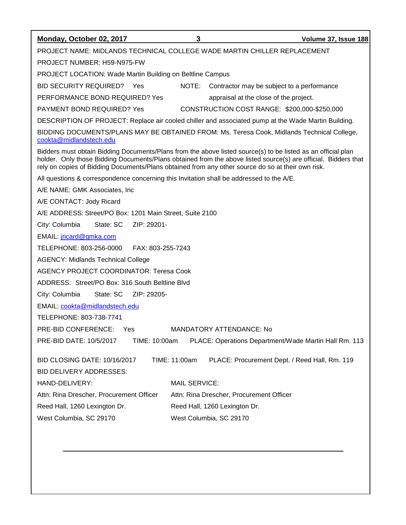| Monday, October 02, 2017                                                                                                                                                                                                                                                                                                            | 3                       | Volume 37, Issue 188                                  |  |  |  |
|-------------------------------------------------------------------------------------------------------------------------------------------------------------------------------------------------------------------------------------------------------------------------------------------------------------------------------------|-------------------------|-------------------------------------------------------|--|--|--|
| PROJECT NAME: MIDLANDS TECHNICAL COLLEGE WADE MARTIN CHILLER REPLACEMENT                                                                                                                                                                                                                                                            |                         |                                                       |  |  |  |
| PROJECT NUMBER: H59-N975-FW                                                                                                                                                                                                                                                                                                         |                         |                                                       |  |  |  |
| <b>PROJECT LOCATION: Wade Martin Building on Beltline Campus</b>                                                                                                                                                                                                                                                                    |                         |                                                       |  |  |  |
| BID SECURITY REQUIRED? Yes                                                                                                                                                                                                                                                                                                          | NOTE:                   | Contractor may be subject to a performance            |  |  |  |
| PERFORMANCE BOND REQUIRED? Yes                                                                                                                                                                                                                                                                                                      |                         | appraisal at the close of the project.                |  |  |  |
| <b>PAYMENT BOND REQUIRED? Yes</b><br>CONSTRUCTION COST RANGE: \$200,000-\$250,000                                                                                                                                                                                                                                                   |                         |                                                       |  |  |  |
| DESCRIPTION OF PROJECT: Replace air cooled chiller and associated pump at the Wade Martin Building.                                                                                                                                                                                                                                 |                         |                                                       |  |  |  |
| BIDDING DOCUMENTS/PLANS MAY BE OBTAINED FROM: Ms. Teresa Cook, Midlands Technical College,<br>cookta@midlandstech.edu                                                                                                                                                                                                               |                         |                                                       |  |  |  |
| Bidders must obtain Bidding Documents/Plans from the above listed source(s) to be listed as an official plan<br>holder. Only those Bidding Documents/Plans obtained from the above listed source(s) are official. Bidders that<br>rely on copies of Bidding Documents/Plans obtained from any other source do so at their own risk. |                         |                                                       |  |  |  |
| All questions & correspondence concerning this Invitation shall be addressed to the A/E.                                                                                                                                                                                                                                            |                         |                                                       |  |  |  |
| A/E NAME: GMK Associates, Inc.                                                                                                                                                                                                                                                                                                      |                         |                                                       |  |  |  |
| A/E CONTACT: Jody Ricard                                                                                                                                                                                                                                                                                                            |                         |                                                       |  |  |  |
| A/E ADDRESS: Street/PO Box: 1201 Main Street, Suite 2100                                                                                                                                                                                                                                                                            |                         |                                                       |  |  |  |
| State: SC<br>ZIP: 29201-<br>City: Columbia                                                                                                                                                                                                                                                                                          |                         |                                                       |  |  |  |
| EMAIL: <i>jricard@gmka.com</i>                                                                                                                                                                                                                                                                                                      |                         |                                                       |  |  |  |
| TELEPHONE: 803-256-0000<br>FAX: 803-255-7243                                                                                                                                                                                                                                                                                        |                         |                                                       |  |  |  |
| <b>AGENCY: Midlands Technical College</b>                                                                                                                                                                                                                                                                                           |                         |                                                       |  |  |  |
| <b>AGENCY PROJECT COORDINATOR: Teresa Cook</b>                                                                                                                                                                                                                                                                                      |                         |                                                       |  |  |  |
| ADDRESS: Street/PO Box: 316 South Beltline Blvd                                                                                                                                                                                                                                                                                     |                         |                                                       |  |  |  |
| State: SC<br>ZIP: 29205-<br>City: Columbia                                                                                                                                                                                                                                                                                          |                         |                                                       |  |  |  |
| EMAIL: cookta@midlandstech.edu                                                                                                                                                                                                                                                                                                      |                         |                                                       |  |  |  |
| TELEPHONE: 803-738-7741                                                                                                                                                                                                                                                                                                             |                         |                                                       |  |  |  |
| PRE-BID CONFERENCE: Yes                                                                                                                                                                                                                                                                                                             |                         | MANDATORY ATTENDANCE: No                              |  |  |  |
| PRE-BID DATE: 10/5/2017<br>TIME: 10:00am                                                                                                                                                                                                                                                                                            |                         | PLACE: Operations Department/Wade Martin Hall Rm. 113 |  |  |  |
| BID CLOSING DATE: 10/16/2017                                                                                                                                                                                                                                                                                                        | TIME: 11:00am           | PLACE: Procurement Dept. / Reed Hall, Rm. 119         |  |  |  |
| <b>BID DELIVERY ADDRESSES:</b>                                                                                                                                                                                                                                                                                                      |                         |                                                       |  |  |  |
| HAND-DELIVERY:                                                                                                                                                                                                                                                                                                                      | <b>MAIL SERVICE:</b>    |                                                       |  |  |  |
| Attn: Rina Drescher, Procurement Officer                                                                                                                                                                                                                                                                                            |                         | Attn: Rina Drescher, Procurement Officer              |  |  |  |
| Reed Hall, 1260 Lexington Dr.                                                                                                                                                                                                                                                                                                       |                         | Reed Hall, 1260 Lexington Dr.                         |  |  |  |
| West Columbia, SC 29170                                                                                                                                                                                                                                                                                                             | West Columbia, SC 29170 |                                                       |  |  |  |
|                                                                                                                                                                                                                                                                                                                                     |                         |                                                       |  |  |  |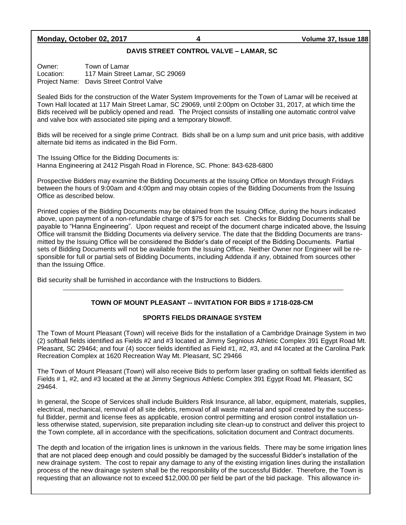#### **Monday, October 02, 2017 4 Volume 37, Issue 188**

#### **DAVIS STREET CONTROL VALVE – LAMAR, SC**

Owner: Town of Lamar Location: 117 Main Street Lamar, SC 29069 Project Name: Davis Street Control Valve

Sealed Bids for the construction of the Water System Improvements for the Town of Lamar will be received at Town Hall located at 117 Main Street Lamar, SC 29069, until 2:00pm on October 31, 2017, at which time the Bids received will be publicly opened and read. The Project consists of installing one automatic control valve and valve box with associated site piping and a temporary blowoff.

Bids will be received for a single prime Contract. Bids shall be on a lump sum and unit price basis, with additive alternate bid items as indicated in the Bid Form.

The Issuing Office for the Bidding Documents is: Hanna Engineering at 2412 Pisgah Road in Florence, SC. Phone: 843-628-6800

Prospective Bidders may examine the Bidding Documents at the Issuing Office on Mondays through Fridays between the hours of 9:00am and 4:00pm and may obtain copies of the Bidding Documents from the Issuing Office as described below.

Printed copies of the Bidding Documents may be obtained from the Issuing Office, during the hours indicated above, upon payment of a non-refundable charge of \$75 for each set. Checks for Bidding Documents shall be payable to "Hanna Engineering". Upon request and receipt of the document charge indicated above, the Issuing Office will transmit the Bidding Documents via delivery service. The date that the Bidding Documents are transmitted by the Issuing Office will be considered the Bidder's date of receipt of the Bidding Documents. Partial sets of Bidding Documents will not be available from the Issuing Office. Neither Owner nor Engineer will be responsible for full or partial sets of Bidding Documents, including Addenda if any, obtained from sources other than the Issuing Office.

Bid security shall be furnished in accordance with the Instructions to Bidders.

#### **TOWN OF MOUNT PLEASANT -- INVITATION FOR BIDS # 1718-028-CM**

#### **SPORTS FIELDS DRAINAGE SYSTEM**

The Town of Mount Pleasant (Town) will receive Bids for the installation of a Cambridge Drainage System in two (2) softball fields identified as Fields #2 and #3 located at Jimmy Segnious Athletic Complex 391 Egypt Road Mt. Pleasant, SC 29464; and four (4) soccer fields identified as Field #1, #2, #3, and #4 located at the Carolina Park Recreation Complex at 1620 Recreation Way Mt. Pleasant, SC 29466

The Town of Mount Pleasant (Town) will also receive Bids to perform laser grading on softball fields identified as Fields # 1, #2, and #3 located at the at Jimmy Segnious Athletic Complex 391 Egypt Road Mt. Pleasant, SC 29464.

In general, the Scope of Services shall include Builders Risk Insurance, all labor, equipment, materials, supplies, electrical, mechanical, removal of all site debris, removal of all waste material and spoil created by the successful Bidder, permit and license fees as applicable, erosion control permitting and erosion control installation unless otherwise stated, supervision, site preparation including site clean-up to construct and deliver this project to the Town complete, all in accordance with the specifications, solicitation document and Contract documents.

The depth and location of the irrigation lines is unknown in the various fields. There may be some irrigation lines that are not placed deep enough and could possibly be damaged by the successful Bidder's installation of the new drainage system. The cost to repair any damage to any of the existing irrigation lines during the installation process of the new drainage system shall be the responsibility of the successful Bidder. Therefore, the Town is requesting that an allowance not to exceed \$12,000.00 per field be part of the bid package. This allowance in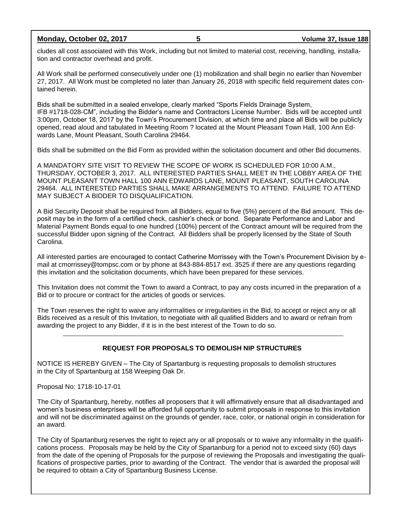**Monday, October 02, 2017 5 Volume 37, Issue 188**

cludes all cost associated with this Work, including but not limited to material cost, receiving, handling, installation and contractor overhead and profit.

All Work shall be performed consecutively under one (1) mobilization and shall begin no earlier than November 27, 2017. All Work must be completed no later than January 26, 2018 with specific field requirement dates contained herein.

Bids shall be submitted in a sealed envelope, clearly marked "Sports Fields Drainage System, IFB #1718-028-CM", including the Bidder's name and Contractors License Number. Bids will be accepted until 3:00pm, October 18, 2017 by the Town's Procurement Division, at which time and place all Bids will be publicly opened, read aloud and tabulated in Meeting Room ? located at the Mount Pleasant Town Hall, 100 Ann Edwards Lane, Mount Pleasant, South Carolina 29464.

Bids shall be submitted on the Bid Form as provided within the solicitation document and other Bid documents.

A MANDATORY SITE VISIT TO REVIEW THE SCOPE OF WORK IS SCHEDULED FOR 10:00 A.M., THURSDAY, OCTOBER 3, 2017. ALL INTERESTED PARTIES SHALL MEET IN THE LOBBY AREA OF THE MOUNT PLEASANT TOWN HALL 100 ANN EDWARDS LANE, MOUNT PLEASANT, SOUTH CAROLINA 29464. ALL INTERESTED PARTIES SHALL MAKE ARRANGEMENTS TO ATTEND. FAILURE TO ATTEND MAY SUBJECT A BIDDER TO DISQUALIFICATION.

A Bid Security Deposit shall be required from all Bidders, equal to five (5%) percent of the Bid amount. This deposit may be in the form of a certified check, cashier's check or bond. Separate Performance and Labor and Material Payment Bonds equal to one hundred (100%) percent of the Contract amount will be required from the successful Bidder upon signing of the Contract. All Bidders shall be properly licensed by the State of South Carolina.

All interested parties are encouraged to contact Catherine Morrissey with the Town's Procurement Division by email at cmorrissey@tompsc.com or by phone at 843-884-8517 ext. 3525 if there are any questions regarding this invitation and the solicitation documents, which have been prepared for these services.

This Invitation does not commit the Town to award a Contract, to pay any costs incurred in the preparation of a Bid or to procure or contract for the articles of goods or services.

The Town reserves the right to waive any informalities or irregularities in the Bid, to accept or reject any or all Bids received as a result of this Invitation, to negotiate with all qualified Bidders and to award or refrain from awarding the project to any Bidder, if it is in the best interest of the Town to do so.

#### **REQUEST FOR PROPOSALS TO DEMOLISH NIP STRUCTURES**

NOTICE IS HEREBY GIVEN – The City of Spartanburg is requesting proposals to demolish structures in the City of Spartanburg at 158 Weeping Oak Dr.

Proposal No: 1718-10-17-01

The City of Spartanburg, hereby, notifies all proposers that it will affirmatively ensure that all disadvantaged and women's business enterprises will be afforded full opportunity to submit proposals in response to this invitation and will not be discriminated against on the grounds of gender, race, color, or national origin in consideration for an award.

The City of Spartanburg reserves the right to reject any or all proposals or to waive any informality in the qualifications process. Proposals may be held by the City of Spartanburg for a period not to exceed sixty (60) days from the date of the opening of Proposals for the purpose of reviewing the Proposals and investigating the qualifications of prospective parties, prior to awarding of the Contract. The vendor that is awarded the proposal will be required to obtain a City of Spartanburg Business License.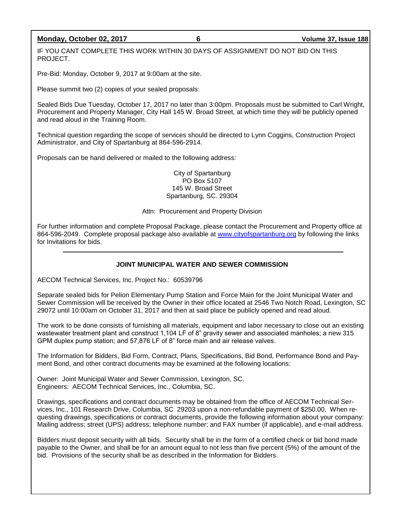#### **Monday, October 02, 2017 6 Volume 37, Issue 188**

IF YOU CANT COMPLETE THIS WORK WITHIN 30 DAYS OF ASSIGNMENT DO NOT BID ON THIS PROJECT.

Pre-Bid: Monday, October 9, 2017 at 9:00am at the site.

Please summit two (2) copies of your sealed proposals:

Sealed Bids Due Tuesday, October 17, 2017 no later than 3:00pm. Proposals must be submitted to Carl Wright, Procurement and Property Manager, City Hall 145 W. Broad Street, at which time they will be publicly opened and read aloud in the Training Room.

Technical question regarding the scope of services should be directed to Lynn Coggins, Construction Project Administrator, and City of Spartanburg at 864-596-2914.

Proposals can be hand delivered or mailed to the following address:

City of Spartanburg PO Box 5107 145 W. Broad Street Spartanburg, SC. 29304

#### Attn: Procurement and Property Division

For further information and complete Proposal Package, please contact the Procurement and Property office at 864-596-2049. Complete proposal package also available at [www.cityofspartanburg.org](http://www.cityofspartanburg.org/) by following the links for Invitations for bids.

#### **JOINT MUNICIPAL WATER AND SEWER COMMISSION**

AECOM Technical Services, Inc. Project No.: 60539796

Separate sealed bids for Pelion Elementary Pump Station and Force Main for the Joint Municipal Water and Sewer Commission will be received by the Owner in their office located at 2546 Two Notch Road, Lexington, SC 29072 until 10:00am on October 31, 2017 and then at said place be publicly opened and read aloud.

The work to be done consists of furnishing all materials, equipment and labor necessary to close out an existing wastewater treatment plant and construct 1,104 LF of 8" gravity sewer and associated manholes; a new 315 GPM duplex pump station; and 57,876 LF of 8" force main and air release valves.

The Information for Bidders, Bid Form, Contract, Plans, Specifications, Bid Bond, Performance Bond and Payment Bond, and other contract documents may be examined at the following locations:

Owner: Joint Municipal Water and Sewer Commission, Lexington, SC. Engineers: AECOM Technical Services, Inc., Columbia, SC.

Drawings, specifications and contract documents may be obtained from the office of AECOM Technical Services, Inc., 101 Research Drive, Columbia, SC 29203 upon a non-refundable payment of \$250.00. When requesting drawings, specifications or contract documents, provide the following information about your company: Mailing address; street (UPS) address; telephone number; and FAX number (if applicable), and e-mail address.

Bidders must deposit security with all bids. Security shall be in the form of a certified check or bid bond made payable to the Owner, and shall be for an amount equal to not less than five percent (5%) of the amount of the bid. Provisions of the security shall be as described in the Information for Bidders.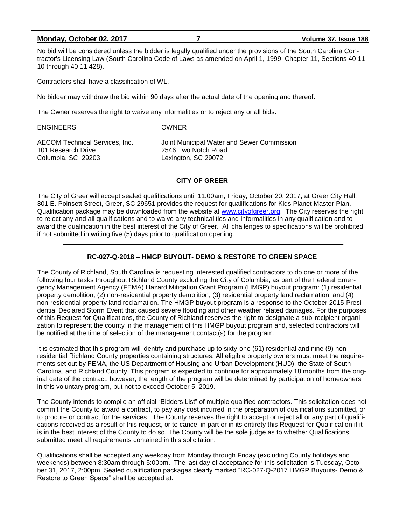#### **Monday, October 02, 2017 7 Volume 37, Issue 188**

No bid will be considered unless the bidder is legally qualified under the provisions of the South Carolina Contractor's Licensing Law (South Carolina Code of Laws as amended on April 1, 1999, Chapter 11, Sections 40 11 10 through 40 11 428).

Contractors shall have a classification of WL.

No bidder may withdraw the bid within 90 days after the actual date of the opening and thereof.

The Owner reserves the right to waive any informalities or to reject any or all bids.

ENGINEERS OWNER

101 Research Drive 2546 Two Notch Road Columbia, SC 29203 Lexington, SC 29072

AECOM Technical Services, Inc. Joint Municipal Water and Sewer Commission

#### **CITY OF GREER**

The City of Greer will accept sealed qualifications until 11:00am, Friday, October 20, 2017, at Greer City Hall; 301 E. Poinsett Street, Greer, SC 29651 provides the request for qualifications for Kids Planet Master Plan. Qualification package may be downloaded from the website at [www.cityofgreer.org.](http://www.cityofgreer.org/) The City reserves the right to reject any and all qualifications and to waive any technicalities and informalities in any qualification and to award the qualification in the best interest of the City of Greer. All challenges to specifications will be prohibited if not submitted in writing five (5) days prior to qualification opening.

#### **RC-027-Q-2018 – HMGP BUYOUT- DEMO & RESTORE TO GREEN SPACE**

The County of Richland, South Carolina is requesting interested qualified contractors to do one or more of the following four tasks throughout Richland County excluding the City of Columbia, as part of the Federal Emergency Management Agency (FEMA) Hazard Mitigation Grant Program (HMGP) buyout program: (1) residential property demolition; (2) non-residential property demolition; (3) residential property land reclamation; and (4) non-residential property land reclamation. The HMGP buyout program is a response to the October 2015 Presidential Declared Storm Event that caused severe flooding and other weather related damages. For the purposes of this Request for Qualifications, the County of Richland reserves the right to designate a sub-recipient organization to represent the county in the management of this HMGP buyout program and, selected contractors will be notified at the time of selection of the management contact(s) for the program.

It is estimated that this program will identify and purchase up to sixty-one (61) residential and nine (9) nonresidential Richland County properties containing structures. All eligible property owners must meet the requirements set out by FEMA, the US Department of Housing and Urban Development (HUD), the State of South Carolina, and Richland County. This program is expected to continue for approximately 18 months from the original date of the contract, however, the length of the program will be determined by participation of homeowners in this voluntary program, but not to exceed October 5, 2019.

The County intends to compile an official "Bidders List" of multiple qualified contractors. This solicitation does not commit the County to award a contract, to pay any cost incurred in the preparation of qualifications submitted, or to procure or contract for the services. The County reserves the right to accept or reject all or any part of qualifications received as a result of this request, or to cancel in part or in its entirety this Request for Qualification if it is in the best interest of the County to do so. The County will be the sole judge as to whether Qualifications submitted meet all requirements contained in this solicitation.

Qualifications shall be accepted any weekday from Monday through Friday (excluding County holidays and weekends) between 8:30am through 5:00pm. The last day of acceptance for this solicitation is Tuesday, October 31, 2017, 2:00pm. Sealed qualification packages clearly marked "RC-027-Q-2017 HMGP Buyouts- Demo & Restore to Green Space" shall be accepted at: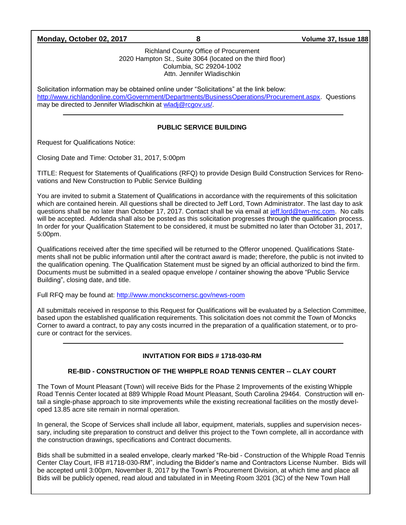| Monday, October 02, 2017 |
|--------------------------|
|--------------------------|

#### Richland County Office of Procurement 2020 Hampton St., Suite 3064 (located on the third floor) Columbia, SC 29204-1002 Attn. Jennifer Wladischkin

Solicitation information may be obtained online under "Solicitations" at the link below: [http://www.richlandonline.com/Government/Departments/BusinessOperations/Procurement.aspx.](http://www.richlandonline.com/Government/Departments/BusinessOperations/Procurement.aspx) Questions may be directed to Jennifer Wladischkin at [wladj@rcgov.us/.](mailto:wladj@rcgov.us/)

### **PUBLIC SERVICE BUILDING**

Request for Qualifications Notice:

Closing Date and Time: October 31, 2017, 5:00pm

TITLE: Request for Statements of Qualifications (RFQ) to provide Design Build Construction Services for Renovations and New Construction to Public Service Building

You are invited to submit a Statement of Qualifications in accordance with the requirements of this solicitation which are contained herein. All questions shall be directed to Jeff Lord, Town Administrator. The last day to ask questions shall be no later than October 17, 2017. Contact shall be via email at [jeff.lord@twn-mc.com.](mailto:jeff.lord@twn-mc.com) No calls will be accepted. Addenda shall also be posted as this solicitation progresses through the qualification process. In order for your Qualification Statement to be considered, it must be submitted no later than October 31, 2017, 5:00pm.

Qualifications received after the time specified will be returned to the Offeror unopened. Qualifications Statements shall not be public information until after the contract award is made; therefore, the public is not invited to the qualification opening. The Qualification Statement must be signed by an official authorized to bind the firm. Documents must be submitted in a sealed opaque envelope / container showing the above "Public Service Building", closing date, and title.

Full RFQ may be found at:<http://www.monckscornersc.gov/news-room>

All submittals received in response to this Request for Qualifications will be evaluated by a Selection Committee, based upon the established qualification requirements. This solicitation does not commit the Town of Moncks Corner to award a contract, to pay any costs incurred in the preparation of a qualification statement, or to procure or contract for the services.

#### **INVITATION FOR BIDS # 1718-030-RM**

#### **RE-BID - CONSTRUCTION OF THE WHIPPLE ROAD TENNIS CENTER -- CLAY COURT**

The Town of Mount Pleasant (Town) will receive Bids for the Phase 2 Improvements of the existing Whipple Road Tennis Center located at 889 Whipple Road Mount Pleasant, South Carolina 29464. Construction will entail a single-phase approach to site improvements while the existing recreational facilities on the mostly developed 13.85 acre site remain in normal operation.

In general, the Scope of Services shall include all labor, equipment, materials, supplies and supervision necessary, including site preparation to construct and deliver this project to the Town complete, all in accordance with the construction drawings, specifications and Contract documents.

Bids shall be submitted in a sealed envelope, clearly marked "Re-bid - Construction of the Whipple Road Tennis Center Clay Court, IFB #1718-030-RM", including the Bidder's name and Contractors License Number. Bids will be accepted until 3:00pm, November 8, 2017 by the Town's Procurement Division, at which time and place all Bids will be publicly opened, read aloud and tabulated in in Meeting Room 3201 (3C) of the New Town Hall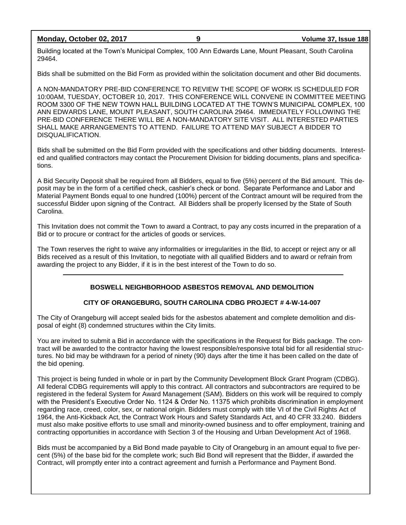**Monday, October 02, 2017 9 Volume 37, Issue 188**

Building located at the Town's Municipal Complex, 100 Ann Edwards Lane, Mount Pleasant, South Carolina 29464.

Bids shall be submitted on the Bid Form as provided within the solicitation document and other Bid documents.

A NON-MANDATORY PRE-BID CONFERENCE TO REVIEW THE SCOPE OF WORK IS SCHEDULED FOR 10:00AM, TUESDAY, OCTOBER 10, 2017. THIS CONFERENCE WILL CONVENE IN COMMITTEE MEETING ROOM 3300 OF THE NEW TOWN HALL BUILDING LOCATED AT THE TOWN'S MUNICIPAL COMPLEX, 100 ANN EDWARDS LANE, MOUNT PLEASANT, SOUTH CAROLINA 29464. IMMEDIATELY FOLLOWING THE PRE-BID CONFERENCE THERE WILL BE A NON-MANDATORY SITE VISIT. ALL INTERESTED PARTIES SHALL MAKE ARRANGEMENTS TO ATTEND. FAILURE TO ATTEND MAY SUBJECT A BIDDER TO DISQUALIFICATION.

Bids shall be submitted on the Bid Form provided with the specifications and other bidding documents. Interested and qualified contractors may contact the Procurement Division for bidding documents, plans and specifications.

A Bid Security Deposit shall be required from all Bidders, equal to five (5%) percent of the Bid amount. This deposit may be in the form of a certified check, cashier's check or bond. Separate Performance and Labor and Material Payment Bonds equal to one hundred (100%) percent of the Contract amount will be required from the successful Bidder upon signing of the Contract. All Bidders shall be properly licensed by the State of South Carolina.

This Invitation does not commit the Town to award a Contract, to pay any costs incurred in the preparation of a Bid or to procure or contract for the articles of goods or services.

The Town reserves the right to waive any informalities or irregularities in the Bid, to accept or reject any or all Bids received as a result of this Invitation, to negotiate with all qualified Bidders and to award or refrain from awarding the project to any Bidder, if it is in the best interest of the Town to do so.

### **BOSWELL NEIGHBORHOOD ASBESTOS REMOVAL AND DEMOLITION**

### **CITY OF ORANGEBURG, SOUTH CAROLINA CDBG PROJECT # 4-W-14-007**

The City of Orangeburg will accept sealed bids for the asbestos abatement and complete demolition and disposal of eight (8) condemned structures within the City limits.

You are invited to submit a Bid in accordance with the specifications in the Request for Bids package. The contract will be awarded to the contractor having the lowest responsible/responsive total bid for all residential structures. No bid may be withdrawn for a period of ninety (90) days after the time it has been called on the date of the bid opening.

This project is being funded in whole or in part by the Community Development Block Grant Program (CDBG). All federal CDBG requirements will apply to this contract. All contractors and subcontractors are required to be registered in the federal System for Award Management (SAM). Bidders on this work will be required to comply with the President's Executive Order No. 1124 & Order No. 11375 which prohibits discrimination in employment regarding race, creed, color, sex, or national origin. Bidders must comply with title VI of the Civil Rights Act of 1964, the Anti-Kickback Act, the Contract Work Hours and Safety Standards Act, and 40 CFR 33.240. Bidders must also make positive efforts to use small and minority-owned business and to offer employment, training and contracting opportunities in accordance with Section 3 of the Housing and Urban Development Act of 1968.

Bids must be accompanied by a Bid Bond made payable to City of Orangeburg in an amount equal to five percent (5%) of the base bid for the complete work; such Bid Bond will represent that the Bidder, if awarded the Contract, will promptly enter into a contract agreement and furnish a Performance and Payment Bond.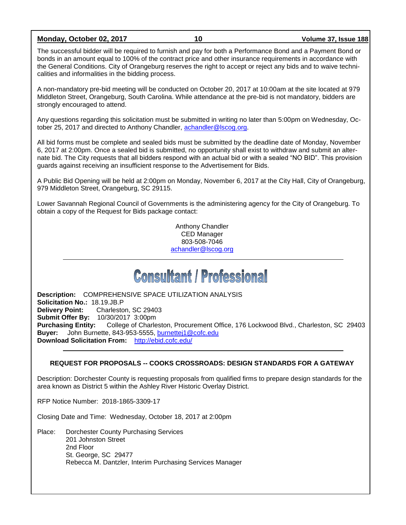#### **Monday, October 02, 2017 10 Volume 37, Issue 188**

The successful bidder will be required to furnish and pay for both a Performance Bond and a Payment Bond or bonds in an amount equal to 100% of the contract price and other insurance requirements in accordance with the General Conditions. City of Orangeburg reserves the right to accept or reject any bids and to waive technicalities and informalities in the bidding process.

A non-mandatory pre-bid meeting will be conducted on October 20, 2017 at 10:00am at the site located at 979 Middleton Street, Orangeburg, South Carolina. While attendance at the pre-bid is not mandatory, bidders are strongly encouraged to attend.

Any questions regarding this solicitation must be submitted in writing no later than 5:00pm on Wednesday, October 25, 2017 and directed to Anthony Chandler, [achandler@lscog.org.](mailto:achandler@lscog.org)

All bid forms must be complete and sealed bids must be submitted by the deadline date of Monday, November 6, 2017 at 2:00pm. Once a sealed bid is submitted, no opportunity shall exist to withdraw and submit an alternate bid. The City requests that all bidders respond with an actual bid or with a sealed "NO BID". This provision guards against receiving an insufficient response to the Advertisement for Bids.

A Public Bid Opening will be held at 2:00pm on Monday, November 6, 2017 at the City Hall, City of Orangeburg, 979 Middleton Street, Orangeburg, SC 29115.

Lower Savannah Regional Council of Governments is the administering agency for the City of Orangeburg. To obtain a copy of the Request for Bids package contact:

> Anthony Chandler CED Manager 803-508-7046 [achandler@lscog.org](mailto:achandler@lscog.org)

# **Consultant / Professional**

**Description:** COMPREHENSIVE SPACE UTILIZATION ANALYSIS **Solicitation No.:** 18.19.JB.P **Delivery Point:** Charleston, SC 29403 **Submit Offer By:** 10/30/2017 3:00pm **Purchasing Entity:** College of Charleston, Procurement Office, 176 Lockwood Blvd., Charleston, SC 29403 **Buyer:** John Burnette, 843-953-5555, [burnettej1@cofc.edu](mailto:burnettej1@cofc.edu) **Download Solicitation From:** <http://ebid.cofc.edu/>

#### **REQUEST FOR PROPOSALS -- COOKS CROSSROADS: DESIGN STANDARDS FOR A GATEWAY**

Description: Dorchester County is requesting proposals from qualified firms to prepare design standards for the area known as District 5 within the Ashley River Historic Overlay District.

RFP Notice Number: 2018-1865-3309-17

Closing Date and Time: Wednesday, October 18, 2017 at 2:00pm

Place: Dorchester County Purchasing Services 201 Johnston Street 2nd Floor St. George, SC 29477 Rebecca M. Dantzler, Interim Purchasing Services Manager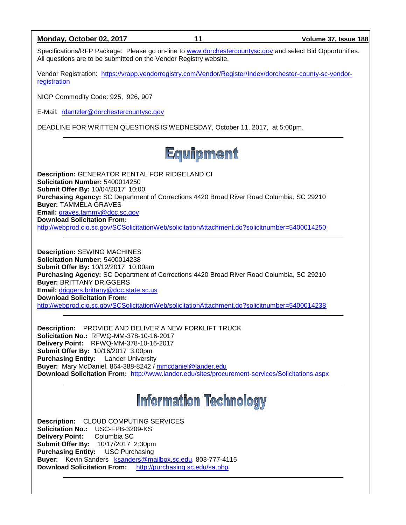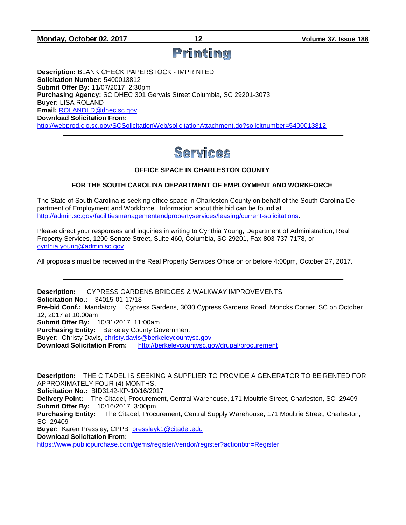#### **Monday, October 02, 2017 12 Volume 37, Issue 188**

## Printing

**Description:** BLANK CHECK PAPERSTOCK - IMPRINTED **Solicitation Number:** 5400013812 **Submit Offer By:** 11/07/2017 2:30pm **Purchasing Agency:** SC DHEC 301 Gervais Street Columbia, SC 29201-3073 **Buyer:** LISA ROLAND **Email:** [ROLANDLD@dhec.sc.gov](mailto:ROLANDLD@dhec.sc.gov) **Download Solicitation From:**  <http://webprod.cio.sc.gov/SCSolicitationWeb/solicitationAttachment.do?solicitnumber=5400013812>



### **OFFICE SPACE IN CHARLESTON COUNTY**

#### **FOR THE SOUTH CAROLINA DEPARTMENT OF EMPLOYMENT AND WORKFORCE**

The State of South Carolina is seeking office space in Charleston County on behalf of the South Carolina Department of Employment and Workforce. Information about this bid can be found at [http://admin.sc.gov/facilitiesmanagementandpropertyservices/leasing/current-solicitations.](http://admin.sc.gov/facilitiesmanagementandpropertyservices/leasing/current-solicitations)

Please direct your responses and inquiries in writing to Cynthia Young, Department of Administration, Real Property Services, 1200 Senate Street, Suite 460, Columbia, SC 29201, Fax 803-737-7178, or [cynthia.young@admin.sc.gov.](mailto:cynthia.young@admin.sc.gov)

All proposals must be received in the Real Property Services Office on or before 4:00pm, October 27, 2017.

**Description:** CYPRESS GARDENS BRIDGES & WALKWAY IMPROVEMENTS **Solicitation No.:** 34015-01-17/18 **Pre-bid Conf.:** Mandatory. Cypress Gardens, 3030 Cypress Gardens Road, Moncks Corner, SC on October 12, 2017 at 10:00am **Submit Offer By:** 10/31/2017 11:00am **Purchasing Entity:** Berkeley County Government **Buyer:** Christy Davis, [christy.davis@berkeleycountysc.gov](mailto:christy.davis@berkeleycountysc.gov) **Download Solicitation From:** <http://berkeleycountysc.gov/drupal/procurement>

**Description:** THE CITADEL IS SEEKING A SUPPLIER TO PROVIDE A GENERATOR TO BE RENTED FOR APPROXIMATELY FOUR (4) MONTHS. **Solicitation No.:** BID3142-KP-10/16/2017 **Delivery Point:** The Citadel, Procurement, Central Warehouse, 171 Moultrie Street, Charleston, SC 29409 **Submit Offer By:** 10/16/2017 3:00pm **Purchasing Entity:** The Citadel, Procurement, Central Supply Warehouse, 171 Moultrie Street, Charleston, SC 29409 **Buyer:** Karen Pressley, CPPB [pressleyk1@citadel.edu](mailto:pressleyk1@citadel.edu) **Download Solicitation From:** <https://www.publicpurchase.com/gems/register/vendor/register?actionbtn=Register>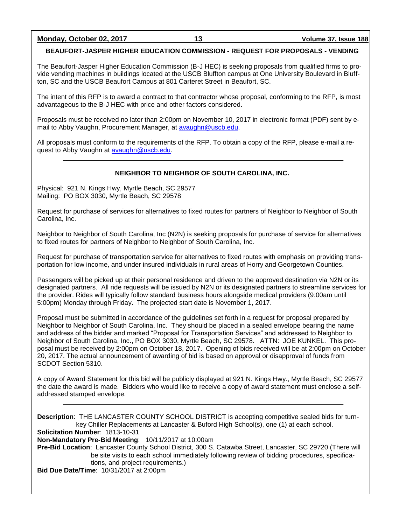**Monday, October 02, 2017 13 Volume 37, Issue 188**

#### **BEAUFORT-JASPER HIGHER EDUCATION COMMISSION - REQUEST FOR PROPOSALS - VENDING**

The Beaufort-Jasper Higher Education Commission (B-J HEC) is seeking proposals from qualified firms to provide vending machines in buildings located at the USCB Bluffton campus at One University Boulevard in Bluffton, SC and the USCB Beaufort Campus at 801 Carteret Street in Beaufort, SC.

The intent of this RFP is to award a contract to that contractor whose proposal, conforming to the RFP, is most advantageous to the B-J HEC with price and other factors considered.

Proposals must be received no later than 2:00pm on November 10, 2017 in electronic format (PDF) sent by email to Abby Vaughn, Procurement Manager, at [avaughn@uscb.edu.](mailto:avaughn@uscb.edu)

All proposals must conform to the requirements of the RFP. To obtain a copy of the RFP, please e-mail a request to Abby Vaughn at [avaughn@uscb.edu.](mailto:avaughn@uscb.edu)

#### **NEIGHBOR TO NEIGHBOR OF SOUTH CAROLINA, INC.**

Physical: 921 N. Kings Hwy, Myrtle Beach, SC 29577 Mailing: PO BOX 3030, Myrtle Beach, SC 29578

Request for purchase of services for alternatives to fixed routes for partners of Neighbor to Neighbor of South Carolina, Inc.

Neighbor to Neighbor of South Carolina, Inc (N2N) is seeking proposals for purchase of service for alternatives to fixed routes for partners of Neighbor to Neighbor of South Carolina, Inc.

Request for purchase of transportation service for alternatives to fixed routes with emphasis on providing transportation for low income, and under insured individuals in rural areas of Horry and Georgetown Counties.

Passengers will be picked up at their personal residence and driven to the approved destination via N2N or its designated partners. All ride requests will be issued by N2N or its designated partners to streamline services for the provider. Rides will typically follow standard business hours alongside medical providers (9:00am until 5:00pm) Monday through Friday. The projected start date is November 1, 2017.

Proposal must be submitted in accordance of the guidelines set forth in a request for proposal prepared by Neighbor to Neighbor of South Carolina, Inc. They should be placed in a sealed envelope bearing the name and address of the bidder and marked "Proposal for Transportation Services" and addressed to Neighbor to Neighbor of South Carolina, Inc., PO BOX 3030, Myrtle Beach, SC 29578. ATTN: JOE KUNKEL. This proposal must be received by 2:00pm on October 18, 2017. Opening of bids received will be at 2:00pm on October 20, 2017. The actual announcement of awarding of bid is based on approval or disapproval of funds from SCDOT Section 5310.

A copy of Award Statement for this bid will be publicly displayed at 921 N. Kings Hwy., Myrtle Beach, SC 29577 the date the award is made. Bidders who would like to receive a copy of award statement must enclose a selfaddressed stamped envelope.

**Description**: THE LANCASTER COUNTY SCHOOL DISTRICT is accepting competitive sealed bids for turnkey Chiller Replacements at Lancaster & Buford High School(s), one (1) at each school. **Solicitation Number**: 1813-10-31 **Non-Mandatory Pre-Bid Meeting**: 10/11/2017 at 10:00am **Pre-Bid Location**: Lancaster County School District, 300 S. Catawba Street, Lancaster, SC 29720 (There will be site visits to each school immediately following review of bidding procedures, specifications, and project requirements.) **Bid Due Date/Time**: 10/31/2017 at 2:00pm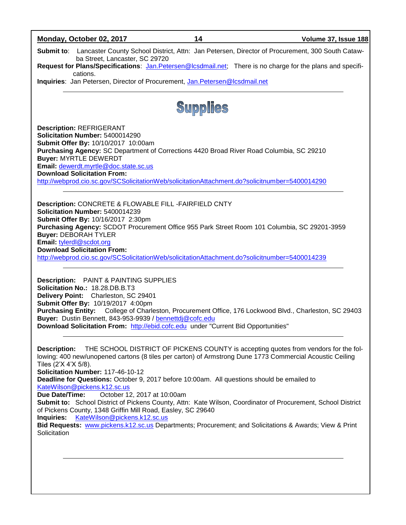| Monday, October 02, 2017                                                                                                                                                                                                                                                                                                                                                                                                                                                                                                                                                                                 | 14 | Volume 37, Issue 188                                                                |  |  |  |
|----------------------------------------------------------------------------------------------------------------------------------------------------------------------------------------------------------------------------------------------------------------------------------------------------------------------------------------------------------------------------------------------------------------------------------------------------------------------------------------------------------------------------------------------------------------------------------------------------------|----|-------------------------------------------------------------------------------------|--|--|--|
| Submit to: Lancaster County School District, Attn: Jan Petersen, Director of Procurement, 300 South Cataw-<br>ba Street, Lancaster, SC 29720                                                                                                                                                                                                                                                                                                                                                                                                                                                             |    |                                                                                     |  |  |  |
| Request for Plans/Specifications: Jan.Petersen@Icsdmail.net; There is no charge for the plans and specifi-                                                                                                                                                                                                                                                                                                                                                                                                                                                                                               |    |                                                                                     |  |  |  |
| cations.<br>Inquiries: Jan Petersen, Director of Procurement, Jan.Petersen@lcsdmail.net                                                                                                                                                                                                                                                                                                                                                                                                                                                                                                                  |    |                                                                                     |  |  |  |
| Supplies                                                                                                                                                                                                                                                                                                                                                                                                                                                                                                                                                                                                 |    |                                                                                     |  |  |  |
| <b>Description: REFRIGERANT</b><br>Solicitation Number: 5400014290<br>Submit Offer By: 10/10/2017 10:00am<br>Purchasing Agency: SC Department of Corrections 4420 Broad River Road Columbia, SC 29210<br><b>Buyer: MYRTLE DEWERDT</b><br>Email: dewerdt.myrtle@doc.state.sc.us<br><b>Download Solicitation From:</b><br>http://webprod.cio.sc.gov/SCSolicitationWeb/solicitationAttachment.do?solicitnumber=5400014290                                                                                                                                                                                   |    |                                                                                     |  |  |  |
| <b>Description: CONCRETE &amp; FLOWABLE FILL -FAIRFIELD CNTY</b><br>Solicitation Number: 5400014239<br>Submit Offer By: 10/16/2017 2:30pm<br>Purchasing Agency: SCDOT Procurement Office 955 Park Street Room 101 Columbia, SC 29201-3959<br><b>Buyer: DEBORAH TYLER</b><br>Email: tylerdl@scdot.org<br><b>Download Solicitation From:</b><br>http://webprod.cio.sc.gov/SCSolicitationWeb/solicitationAttachment.do?solicitnumber=5400014239                                                                                                                                                             |    |                                                                                     |  |  |  |
| <b>Description:</b> PAINT & PAINTING SUPPLIES<br>Solicitation No.: 18.28.DB.B.T3<br>Delivery Point: Charleston, SC 29401<br>Submit Offer By: 10/19/2017 4:00pm<br>Purchasing Entity: College of Charleston, Procurement Office, 176 Lockwood Blvd., Charleston, SC 29403<br>Buyer: Dustin Bennett, 843-953-9939 / bennettdj@cofc.edu<br>Download Solicitation From: http://ebid.cofc.edu under "Current Bid Opportunities"                                                                                                                                                                               |    |                                                                                     |  |  |  |
| <b>Description:</b><br>lowing: 400 new/unopened cartons (8 tiles per carton) of Armstrong Dune 1773 Commercial Acoustic Ceiling<br>Tiles (2'X 4'X 5/8).<br>Solicitation Number: 117-46-10-12<br>Deadline for Questions: October 9, 2017 before 10:00am. All questions should be emailed to<br>KateWilson@pickens.k12.sc.us<br>October 12, 2017 at 10:00am<br>Due Date/Time:<br>Submit to: School District of Pickens County, Attn: Kate Wilson, Coordinator of Procurement, School District<br>of Pickens County, 1348 Griffin Mill Road, Easley, SC 29640<br>KateWilson@pickens.k12.sc.us<br>Inquiries: |    | THE SCHOOL DISTRICT OF PICKENS COUNTY is accepting quotes from vendors for the fol- |  |  |  |

**Bid Requests:** [www.pickens.k12.sc.us](http://www.pickens.k12.sc.us/) Departments; Procurement; and Solicitations & Awards; View & Print Solicitation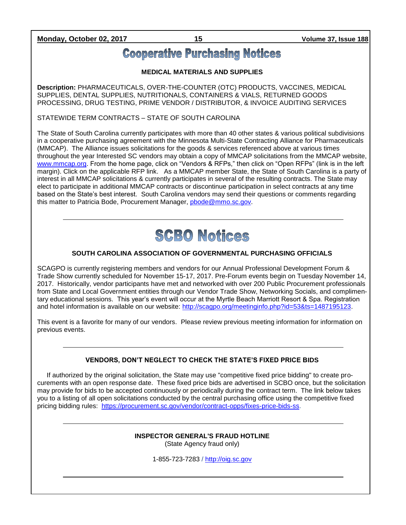**Monday, October 02, 2017 15 Volume 37, Issue 188**

### **Cooperative Purchasing Notices**

#### **MEDICAL MATERIALS AND SUPPLIES**

**Description:** PHARMACEUTICALS, OVER-THE-COUNTER (OTC) PRODUCTS, VACCINES, MEDICAL SUPPLIES, DENTAL SUPPLIES, NUTRITIONALS, CONTAINERS & VIALS, RETURNED GOODS PROCESSING, DRUG TESTING, PRIME VENDOR / DISTRIBUTOR, & INVOICE AUDITING SERVICES

STATEWIDE TERM CONTRACTS – STATE OF SOUTH CAROLINA

The State of South Carolina currently participates with more than 40 other states & various political subdivisions in a cooperative purchasing agreement with the Minnesota Multi-State Contracting Alliance for Pharmaceuticals (MMCAP). The Alliance issues solicitations for the goods & services referenced above at various times throughout the year Interested SC vendors may obtain a copy of MMCAP solicitations from the MMCAP website, [www.mmcap.org.](http://www.mmcap.org/) From the home page, click on "Vendors & RFPs," then click on "Open RFPs" (link is in the left margin). Click on the applicable RFP link. As a MMCAP member State, the State of South Carolina is a party of interest in all MMCAP solicitations & currently participates in several of the resulting contracts. The State may elect to participate in additional MMCAP contracts or discontinue participation in select contracts at any time based on the State's best interest. South Carolina vendors may send their questions or comments regarding this matter to Patricia Bode, Procurement Manager, [pbode@mmo.sc.gov.](mailto:pbode@mmo.sc.gov)



#### **SOUTH CAROLINA ASSOCIATION OF GOVERNMENTAL PURCHASING OFFICIALS**

SCAGPO is currently registering members and vendors for our Annual Professional Development Forum & Trade Show currently scheduled for November 15-17, 2017. Pre-Forum events begin on Tuesday November 14, 2017. Historically, vendor participants have met and networked with over 200 Public Procurement professionals from State and Local Government entities through our Vendor Trade Show, Networking Socials, and complimentary educational sessions. This year's event will occur at the Myrtle Beach Marriott Resort & Spa. Registration and hotel information is available on our website: [http://scagpo.org/meetinginfo.php?id=53&ts=1487195123.](http://scagpo.org/meetinginfo.php?id=53&ts=1487195123)

This event is a favorite for many of our vendors. Please review previous meeting information for information on previous events.

### **VENDORS, DON'T NEGLECT TO CHECK THE STATE'S FIXED PRICE BIDS**

If authorized by the original solicitation, the State may use "competitive fixed price bidding" to create procurements with an open response date. These fixed price bids are advertised in SCBO once, but the solicitation may provide for bids to be accepted continuously or periodically during the contract term. The link below takes you to a listing of all open solicitations conducted by the central purchasing office using the competitive fixed pricing bidding rules: [https://procurement.sc.gov/vendor/contract-opps/fixes-price-bids-ss.](https://procurement.sc.gov/vendor/contract-opps/fixes-price-bids-ss)

#### **INSPECTOR GENERAL'S FRAUD HOTLINE** (State Agency fraud only)

1-855-723-7283 / [http://oig.sc.gov](http://oig.sc.gov/)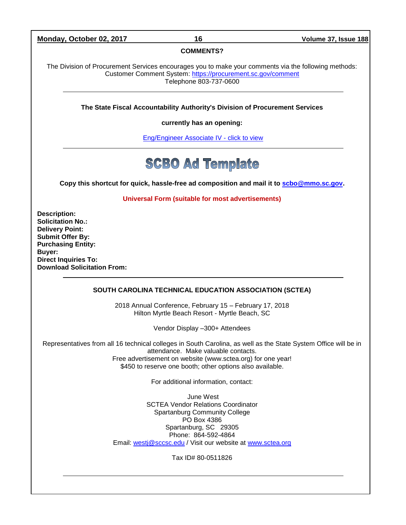#### **Monday, October 02, 2017 16 Volume 37, Issue 188**

#### **COMMENTS?**

The Division of Procurement Services encourages you to make your comments via the following methods: Customer Comment System:<https://procurement.sc.gov/comment> Telephone 803-737-0600

**The State Fiscal Accountability Authority's Division of Procurement Services** 

**currently has an opening:**

[Eng/Engineer Associate IV -](http://agency.governmentjobs.com/sc/default.cfm?action=viewJob&jobID=1632757&hit_count=yes&headerFooter=1&promo=0&transfer=0&WDDXJobSearchParams=%3CwddxPacket%20version%3D%271%2E0%27%3E%3Cheader%2F%3E%3Cdata%3E%3Cstruct%3E%3Cvar%20name%3D%27TRANSFER%27%3E%3Cstring%3E0%3C%2Fstring%3E%3C%2Fvar%3E%3Cvar%20name%3D%27CATEGORYID%27%3E%3Cstring%3E-1%3C%2Fstring%3E%3C%2Fvar%3E%3Cvar%20name%3D%27FIND_KEYWORD%27%3E%3Cstring%3E%3C%2Fstring%3E%3C%2Fvar%3E%3Cvar%20name%3D%27PROMOTIONALJOBS%27%3E%3Cstring%3E0%3C%2Fstring%3E%3C%2Fvar%3E%3C%2Fstruct%3E%3C%2Fdata%3E%3C%2FwddxPacket%3E) click to view

## **SCBO Ad Template**

**Copy this shortcut for quick, hassle-free ad composition and mail it to [scbo@mmo.sc.gov.](mailto:scbo@mmo.sc.gov)** 

**Universal Form (suitable for most advertisements)**

**Description: Solicitation No.: Delivery Point: Submit Offer By: Purchasing Entity: Buyer: Direct Inquiries To: Download Solicitation From:**

#### **SOUTH CAROLINA TECHNICAL EDUCATION ASSOCIATION (SCTEA)**

2018 Annual Conference, February 15 – February 17, 2018 Hilton Myrtle Beach Resort - Myrtle Beach, SC

Vendor Display –300+ Attendees

Representatives from all 16 technical colleges in South Carolina, as well as the State System Office will be in attendance. Make valuable contacts. Free advertisement on website (www.sctea.org) for one year! \$450 to reserve one booth; other options also available.

For additional information, contact:

June West SCTEA Vendor Relations Coordinator Spartanburg Community College PO Box 4386 Spartanburg, SC 29305 Phone: 864-592-4864 Email: [westj@sccsc.edu](mailto:westj@sccsc.edu) / Visit our website at [www.sctea.org](http://www.sctea.org/)

Tax ID# 80-0511826